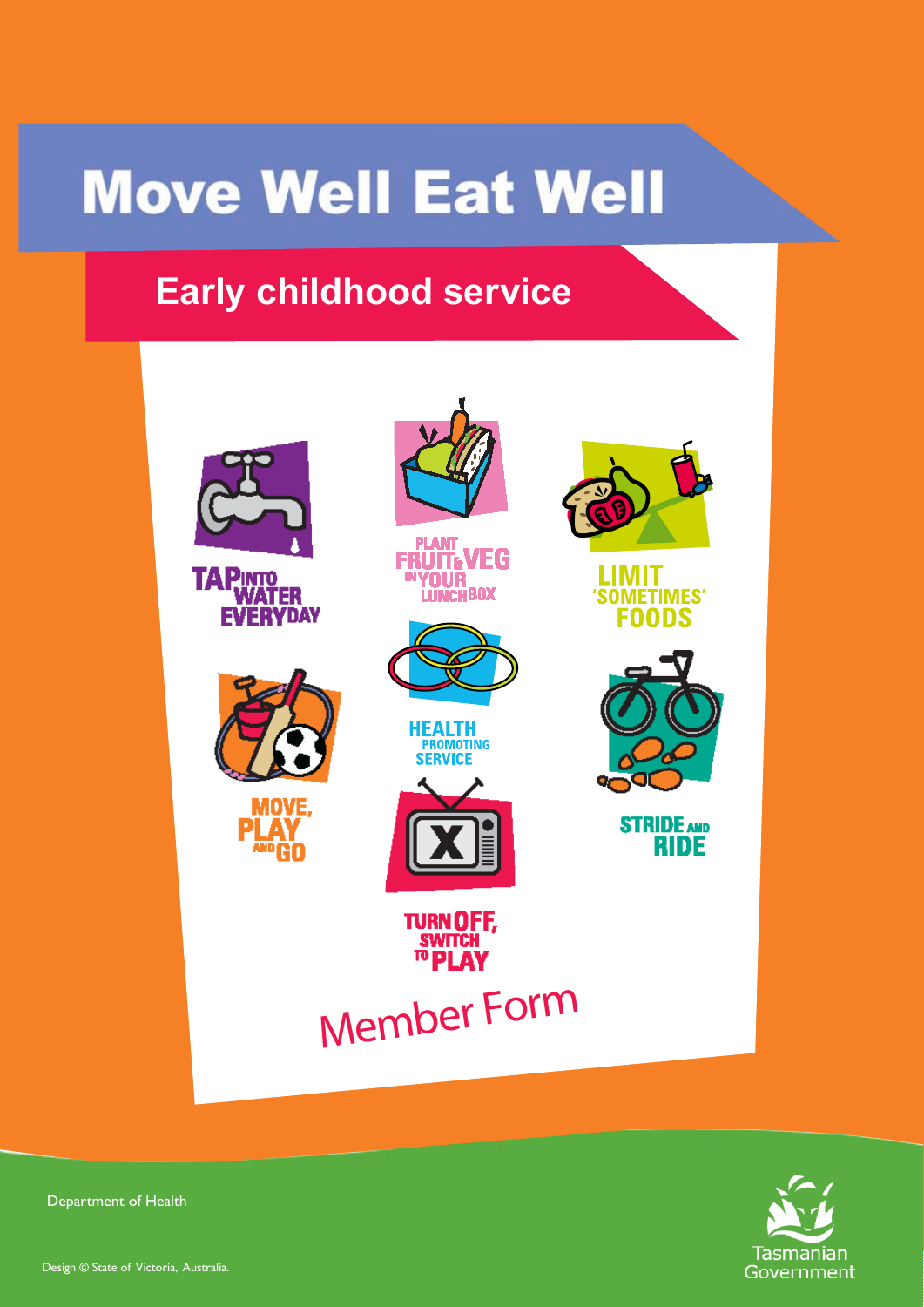# **Move Well Eat Well**

# **Early childhood service**





Department of Health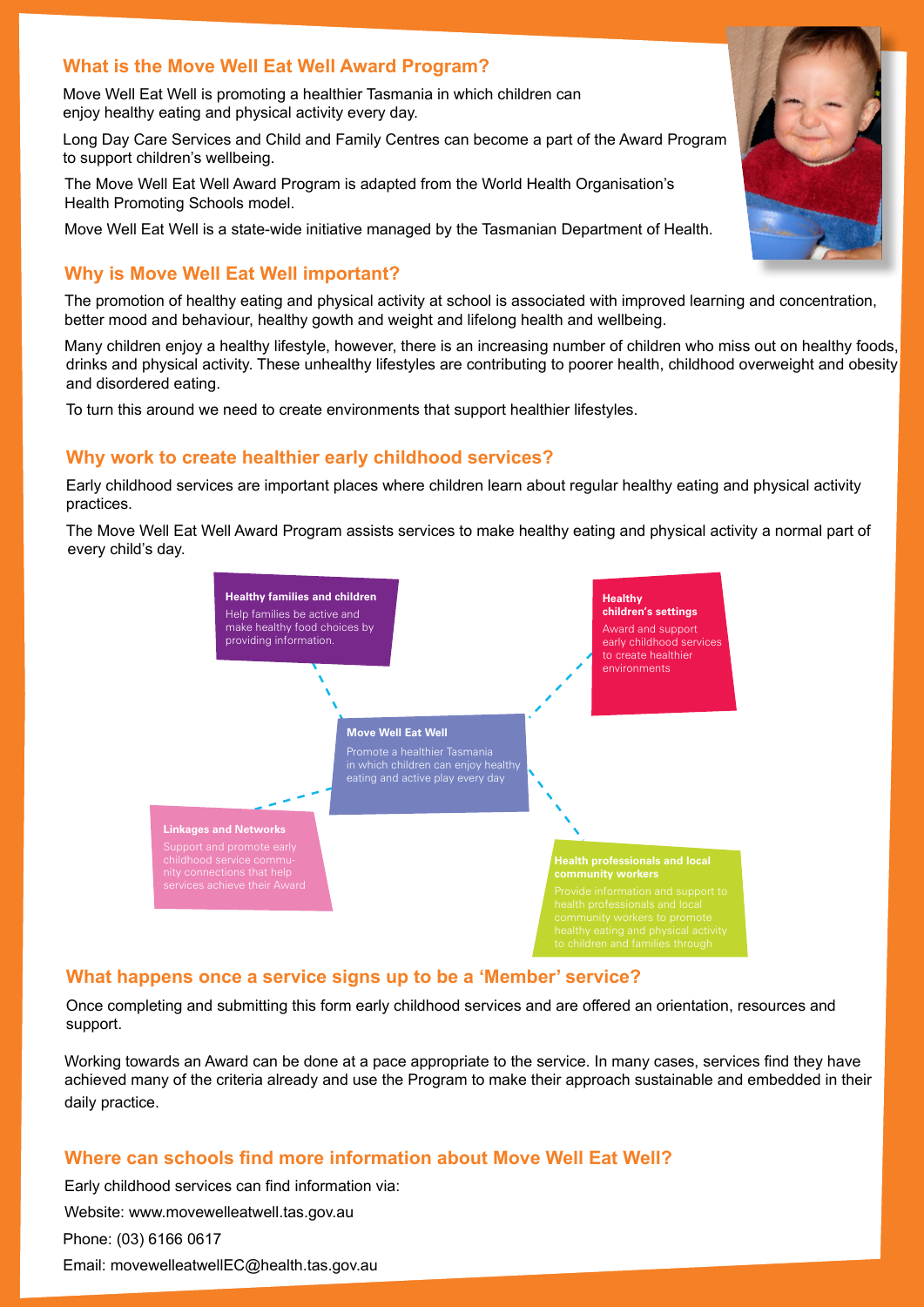### **What is the Move Well Eat Well Award Program?**

Move Well Eat Well is promoting a healthier Tasmania in which children can enjoy healthy eating and physical activity every day.

Long Day Care Services and Child and Family Centres can become a part of the Award Program to support children's wellbeing.

The Move Well Eat Well Award Program is adapted from the World Health Organisation's Health Promoting Schools model.

Move Well Eat Well is a state-wide initiative managed by the Tasmanian Department of Health.

## **Why is Move Well Eat Well important?**

The promotion of healthy eating and physical activity at school is associated with improved learning and concentration, better mood and behaviour, healthy gowth and weight and lifelong health and wellbeing.

Many children enjoy a healthy lifestyle, however, there is an increasing number of children who miss out on healthy foods, drinks and physical activity. These unhealthy lifestyles are contributing to poorer health, childhood overweight and obesity and disordered eating.

To turn this around we need to create environments that support healthier lifestyles.

## **Why work to create healthier early childhood services?**

Early childhood services are important places where children learn about regular healthy eating and physical activity practices.

The Move Well Eat Well Award Program assists services to make healthy eating and physical activity a normal part of every child's day.



## **What happens once a service signs up to be a 'Member' service?**

Once completing and submitting this form early childhood services and are offered an orientation, resources and support.

Working towards an Award can be done at a pace appropriate to the service. In many cases, services find they have achieved many of the criteria already and use the Program to make their approach sustainable and embedded in their daily practice.

## **Where can schools find more information about Move Well Eat Well?**

Early childhood services can find information via: Website: www.movewelleatwell.tas.gov.au Phone: (03) 6166 0617 Email: movewelleatwellEC@health.tas.gov.au

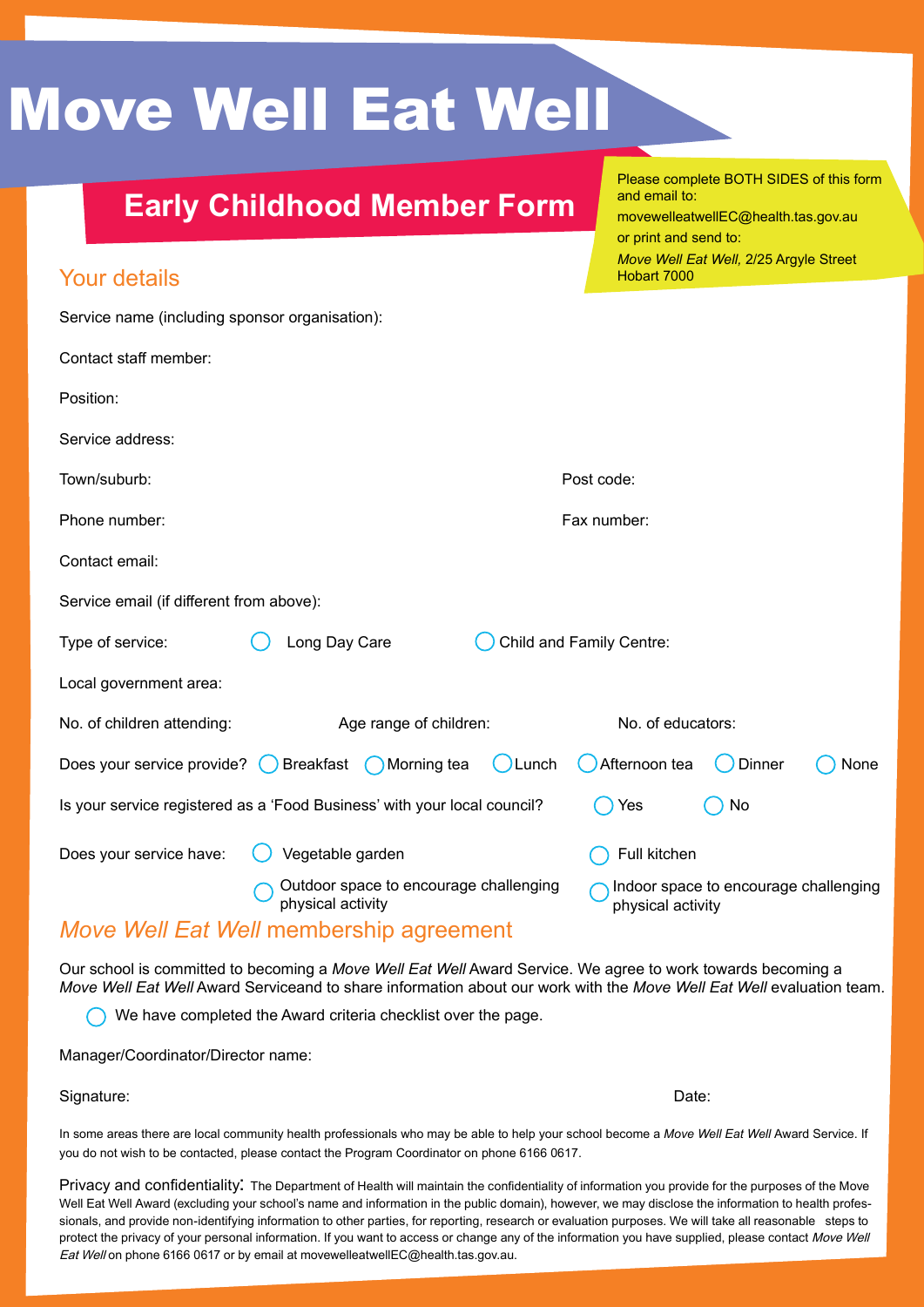# Move Well Eat Well

# **Early Childhood Member Form**

Please complete BOTH SIDES of this form and email to: movewelleatwellEC@health.tas.gov.au or print and send to: *Move Well Eat Well,* 2/25 Argyle Street Hobart 7000

# Your details

| Service name (including sponsor organisation):                           |                                                             |                                                            |  |  |  |  |  |  |
|--------------------------------------------------------------------------|-------------------------------------------------------------|------------------------------------------------------------|--|--|--|--|--|--|
| Contact staff member:                                                    |                                                             |                                                            |  |  |  |  |  |  |
| Position:                                                                |                                                             |                                                            |  |  |  |  |  |  |
| Service address:                                                         |                                                             |                                                            |  |  |  |  |  |  |
| Town/suburb:                                                             |                                                             | Post code:                                                 |  |  |  |  |  |  |
| Phone number:                                                            |                                                             | Fax number:                                                |  |  |  |  |  |  |
| Contact email:                                                           |                                                             |                                                            |  |  |  |  |  |  |
| Service email (if different from above):                                 |                                                             |                                                            |  |  |  |  |  |  |
| Type of service:                                                         | Long Day Care<br>Child and Family Centre:                   |                                                            |  |  |  |  |  |  |
| Local government area:                                                   |                                                             |                                                            |  |  |  |  |  |  |
| No. of children attending:                                               | Age range of children:                                      | No. of educators:                                          |  |  |  |  |  |  |
| Does your service provide? $\qquad$                                      | Breakfast ( Morning tea<br>Lunch                            | Afternoon tea<br>Dinner<br>None                            |  |  |  |  |  |  |
| Is your service registered as a 'Food Business' with your local council? |                                                             | Yes<br>No                                                  |  |  |  |  |  |  |
| Does your service have:                                                  | Vegetable garden                                            | Full kitchen                                               |  |  |  |  |  |  |
|                                                                          | Outdoor space to encourage challenging<br>physical activity | Indoor space to encourage challenging<br>physical activity |  |  |  |  |  |  |
|                                                                          | $M$ aya $M$ all Est $M$ all mambarahin garaamant            |                                                            |  |  |  |  |  |  |

# *Move Well Eat Well* membership agreement

Our school is committed to becoming a *Move Well Eat Well* Award Service. We agree to work towards becoming a *Move Well Eat Well* Award Serviceand to share information about our work with the *Move Well Eat Well* evaluation team.

We have completed the Award criteria checklist over the page.

Manager/Coordinator/Director name:

#### Signature: Date:

In some areas there are local community health professionals who may be able to help your school become a *Move Well Eat Well* Award Service. If you do not wish to be contacted, please contact the Program Coordinator on phone 6166 0617.

Privacy and confidentiality: The Department of Health will maintain the confidentiality of information you provide for the purposes of the Move Well Eat Well Award (excluding your school's name and information in the public domain), however, we may disclose the information to health professionals, and provide non-identifying information to other parties, for reporting, research or evaluation purposes. We will take all reasonable steps to protect the privacy of your personal information. If you want to access or change any of the information you have supplied, please contact Move Well Eat Well on phone 6166 0617 or by email at movewelleatwellEC@health.tas.gov.au.